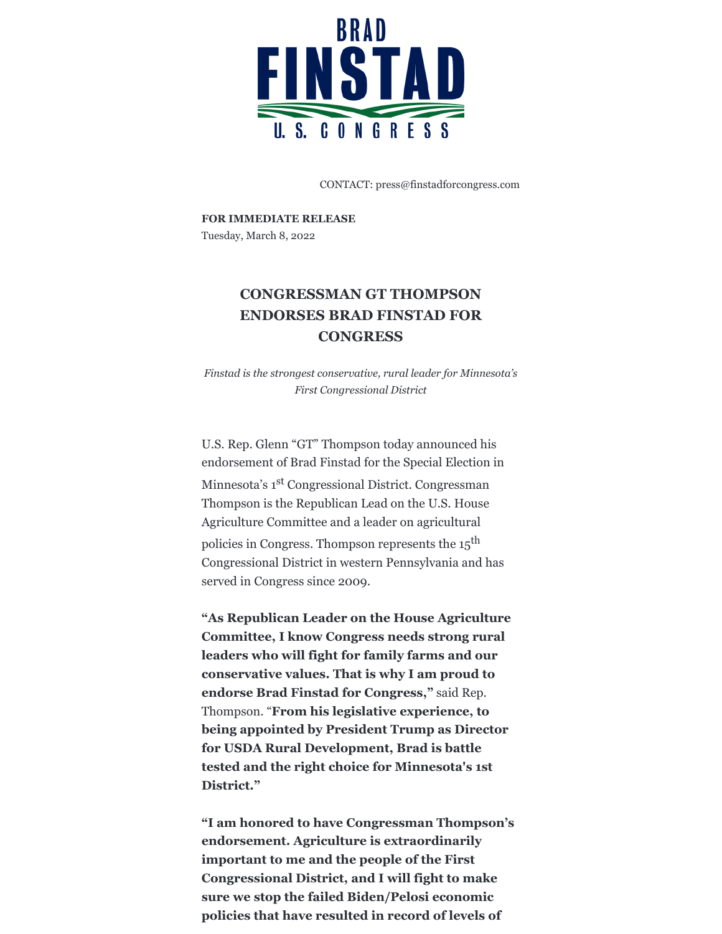

CONTACT: press@finstadforcongress.com

**FOR IMMEDIATE RELEASE** Tuesday, March 8, 2022

## **CONGRESSMAN GT THOMPSON ENDORSES BRAD FINSTAD FOR CONGRESS**

*Finstad is the strongest conservative, rural leader for Minnesota's First Congressional District*

U.S. Rep. Glenn "GT" Thompson today announced his endorsement of Brad Finstad for the Special Election in Minnesota's 1<sup>st</sup> Congressional District. Congressman Thompson is the Republican Lead on the U.S. House Agriculture Committee and a leader on agricultural policies in Congress. Thompson represents the 15<sup>th</sup> Congressional District in western Pennsylvania and has served in Congress since 2009.

**"As Republican Leader on the House Agriculture Committee, I know Congress needs strong rural leaders who will fight for family farms and our conservative values. That is why I am proud to endorse Brad Finstad for Congress,"** said Rep. Thompson. "**From his legislative experience, to being appointed by President Trump as Director for USDA Rural Development, Brad is battle tested and the right choice for Minnesota's 1st District."**

**"I am honored to have Congressman Thompson's endorsement. Agriculture is extraordinarily important to me and the people of the First Congressional District, and I will fight to make sure we stop the failed Biden/Pelosi economic policies that have resulted in record of levels of**